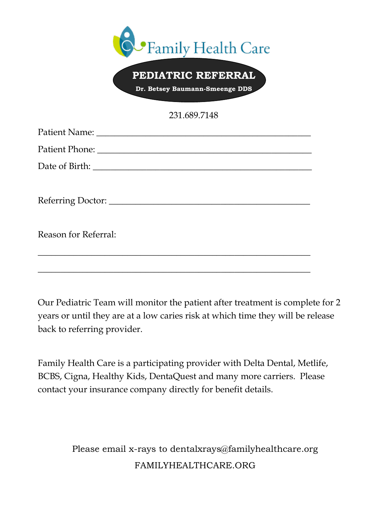| Family Health Care<br>PEDIATRIC REFERRAL |
|------------------------------------------|
| Dr. Betsey Baumann-Smeenge DDS           |
| 231.689.7148                             |
|                                          |
|                                          |
|                                          |
|                                          |
|                                          |
|                                          |
| Reason for Referral:                     |
|                                          |
|                                          |

Our Pediatric Team will monitor the patient after treatment is complete for 2 years or until they are at a low caries risk at which time they will be release back to referring provider.

Family Health Care is a participating provider with Delta Dental, Metlife, BCBS, Cigna, Healthy Kids, DentaQuest and many more carriers. Please contact your insurance company directly for benefit details.

> Please email x-rays to dentalxrays@familyhealthcare.org FAMILYHEALTHCARE.ORG